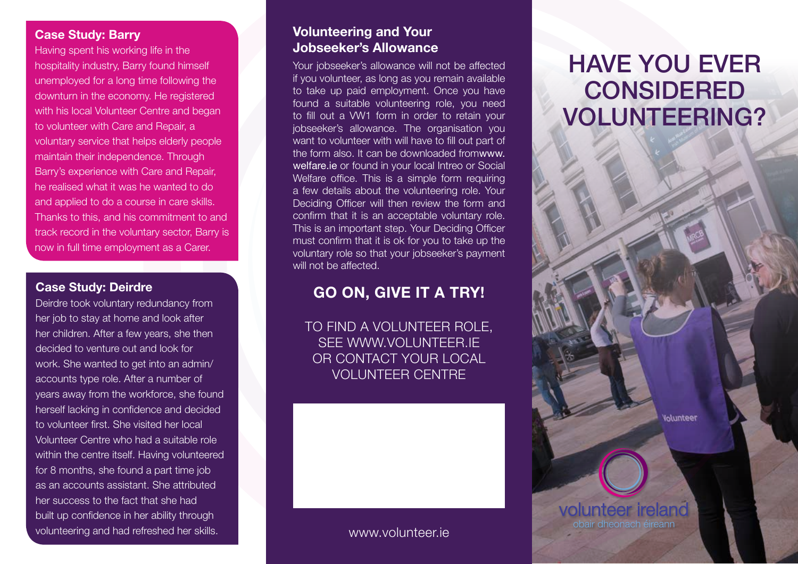#### Case Study: Barry

Having spent his working life in the hospitality industry, Barry found himself unemployed for a long time following the downturn in the economy. He registered with his local Volunteer Centre and began to volunteer with Care and Repair, a voluntary service that helps elderly people maintain their independence. Through Barry's experience with Care and Repair, he realised what it was he wanted to do and applied to do a course in care skills. Thanks to this, and his commitment to and track record in the voluntary sector, Barry is now in full time employment as a Carer.

Deirdre took voluntary redundancy from her job to stay at home and look after her children. After a few years, she then decided to venture out and look for work. She wanted to get into an admin/ accounts type role. After a number of years away from the workforce, she found herself lacking in confidence and decided to volunteer first. She visited her local Volunteer Centre who had a suitable role within the centre itself. Having volunteered for 8 months, she found a part time job as an accounts assistant. She attributed her success to the fact that she had built up confidence in her ability through volunteering and had refreshed her skills.

#### Volunteering and Your Jobseeker's Allowance

Your jobseeker's allowance will not be affected if you volunteer, as long as you remain available to take up paid employment. Once you have found a suitable volunteering role, you need to fill out a VW1 form in order to retain your jobseeker's allowance. The organisation you want to volunteer with will have to fill out part of the form also. It can be downloaded fromwww. welfare.ie or found in your local Intreo or Social Welfare office. This is a simple form requiring a few details about the volunteering role. Your Deciding Officer will then review the form and confirm that it is an acceptable voluntary role. This is an important step. Your Deciding Officer must confirm that it is ok for you to take up the voluntary role so that your jobseeker's payment will not be affected.

# Case Study: Deirdre **Case Study: Deirdre Case Study: Deirdre**

To find a volunteer role, see www.volunteer.ie or contact your local Volunteer Centre

#### www.volunteer.ie

# Have you ever **CONSIDERED** volunteering?

**Iolunteer** 

volunteer ireland obair dheonach éireann